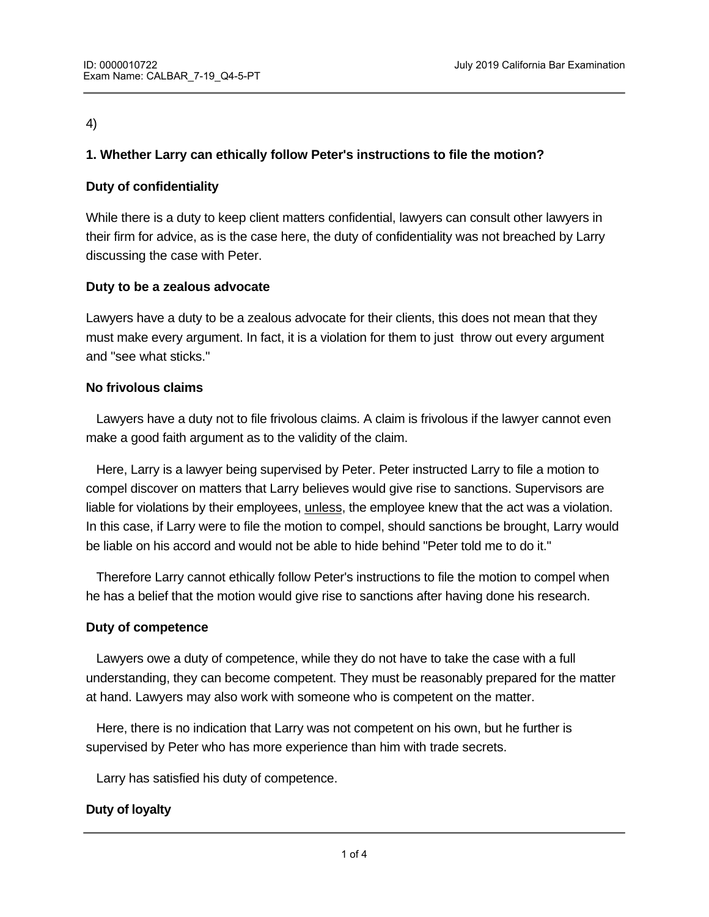### 4)

## **1. Whether Larry can ethically follow Peter's instructions to file the motion?**

### **Duty of confidentiality**

While there is a duty to keep client matters confidential, lawyers can consult other lawyers in their firm for advice, as is the case here, the duty of confidentiality was not breached by Larry discussing the case with Peter.

### **Duty to be a zealous advocate**

Lawyers have a duty to be a zealous advocate for their clients, this does not mean that they must make every argument. In fact, it is a violation for them to just throw out every argument and "see what sticks."

### **No frivolous claims**

 Lawyers have a duty not to file frivolous claims. A claim is frivolous if the lawyer cannot even make a good faith argument as to the validity of the claim.

 Here, Larry is a lawyer being supervised by Peter. Peter instructed Larry to file a motion to compel discover on matters that Larry believes would give rise to sanctions. Supervisors are liable for violations by their employees, unless, the employee knew that the act was a violation. In this case, if Larry were to file the motion to compel, should sanctions be brought, Larry would be liable on his accord and would not be able to hide behind "Peter told me to do it."

 Therefore Larry cannot ethically follow Peter's instructions to file the motion to compel when he has a belief that the motion would give rise to sanctions after having done his research.

### **Duty of competence**

 Lawyers owe a duty of competence, while they do not have to take the case with a full understanding, they can become competent. They must be reasonably prepared for the matter at hand. Lawyers may also work with someone who is competent on the matter.

 Here, there is no indication that Larry was not competent on his own, but he further is supervised by Peter who has more experience than him with trade secrets.

Larry has satisfied his duty of competence.

### **Duty of loyalty**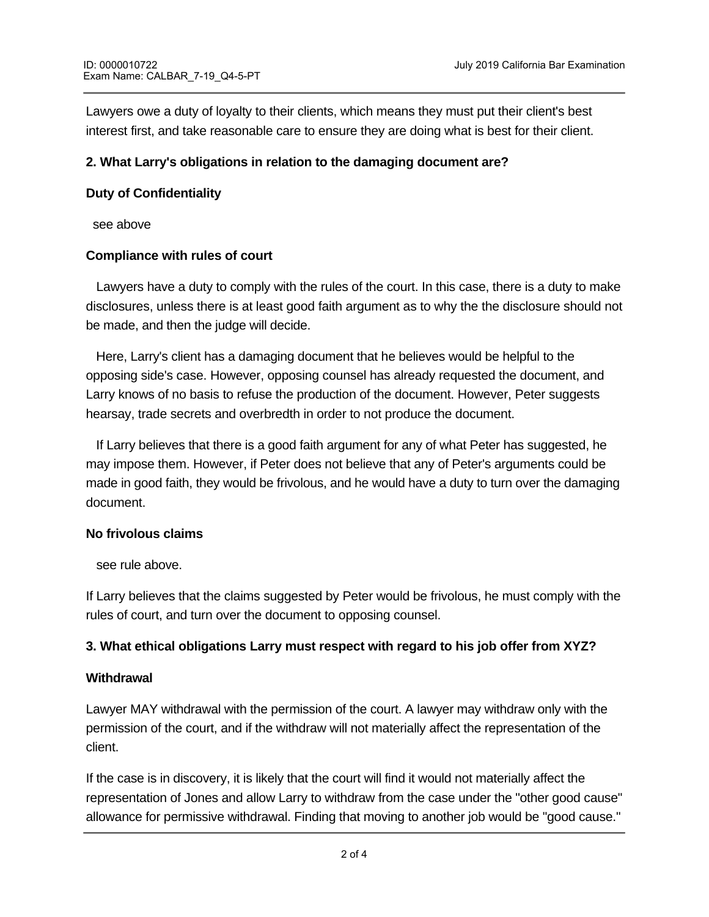Lawyers owe a duty of loyalty to their clients, which means they must put their client's best interest first, and take reasonable care to ensure they are doing what is best for their client.

## **2. What Larry's obligations in relation to the damaging document are?**

### **Duty of Confidentiality**

see above

### **Compliance with rules of court**

Lawyers have a duty to comply with the rules of the court. In this case, there is a duty to make disclosures, unless there is at least good faith argument as to why the the disclosure should not be made, and then the judge will decide.

 Here, Larry's client has a damaging document that he believes would be helpful to the opposing side's case. However, opposing counsel has already requested the document, and Larry knows of no basis to refuse the production of the document. However, Peter suggests hearsay, trade secrets and overbredth in order to not produce the document.

 If Larry believes that there is a good faith argument for any of what Peter has suggested, he may impose them. However, if Peter does not believe that any of Peter's arguments could be made in good faith, they would be frivolous, and he would have a duty to turn over the damaging document.

# **No frivolous claims**

see rule above.

If Larry believes that the claims suggested by Peter would be frivolous, he must comply with the rules of court, and turn over the document to opposing counsel.

# **3. What ethical obligations Larry must respect with regard to his job offer from XYZ?**

### **Withdrawal**

Lawyer MAY withdrawal with the permission of the court. A lawyer may withdraw only with the permission of the court, and if the withdraw will not materially affect the representation of the client.

If the case is in discovery, it is likely that the court will find it would not materially affect the representation of Jones and allow Larry to withdraw from the case under the "other good cause" allowance for permissive withdrawal. Finding that moving to another job would be "good cause."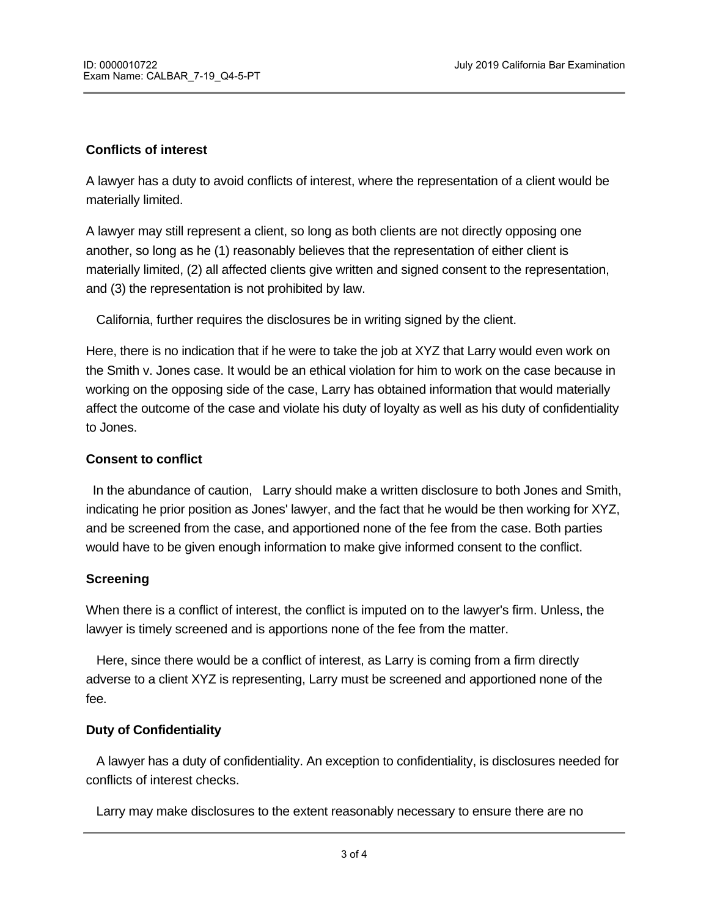## **Conflicts of interest**

A lawyer has a duty to avoid conflicts of interest, where the representation of a client would be materially limited.

A lawyer may still represent a client, so long as both clients are not directly opposing one another, so long as he (1) reasonably believes that the representation of either client is materially limited, (2) all affected clients give written and signed consent to the representation, and (3) the representation is not prohibited by law.

California, further requires the disclosures be in writing signed by the client.

Here, there is no indication that if he were to take the job at XYZ that Larry would even work on the Smith v. Jones case. It would be an ethical violation for him to work on the case because in working on the opposing side of the case, Larry has obtained information that would materially affect the outcome of the case and violate his duty of loyalty as well as his duty of confidentiality to Jones.

### **Consent to conflict**

In the abundance of caution, Larry should make a written disclosure to both Jones and Smith, indicating he prior position as Jones' lawyer, and the fact that he would be then working for XYZ, and be screened from the case, and apportioned none of the fee from the case. Both parties would have to be given enough information to make give informed consent to the conflict.

### **Screening**

When there is a conflict of interest, the conflict is imputed on to the lawyer's firm. Unless, the lawyer is timely screened and is apportions none of the fee from the matter.

 Here, since there would be a conflict of interest, as Larry is coming from a firm directly adverse to a client XYZ is representing, Larry must be screened and apportioned none of the fee.

### **Duty of Confidentiality**

conflicts of interest if he takes the job at XYZ.

A lawyer has a duty of confidentiality. An exception to confidentiality, is disclosures needed for conflicts of interest checks.

Larry may make disclosures to the extent reasonably necessary to ensure there are no